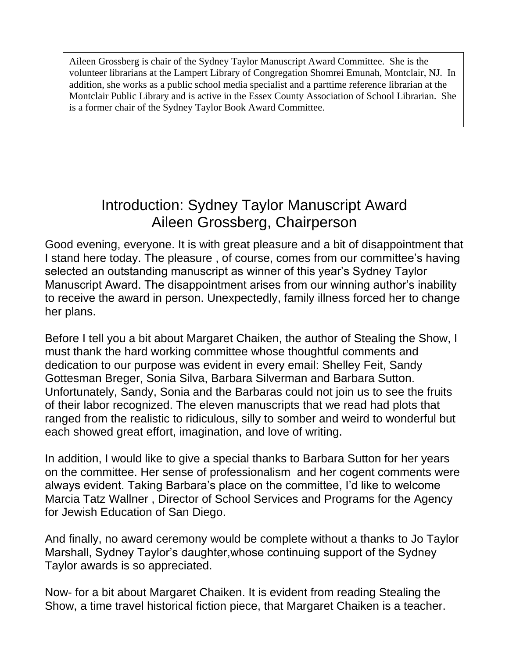Aileen Grossberg is chair of the Sydney Taylor Manuscript Award Committee. She is the volunteer librarians at the Lampert Library of Congregation Shomrei Emunah, Montclair, NJ. In addition, she works as a public school media specialist and a parttime reference librarian at the Montclair Public Library and is active in the Essex County Association of School Librarian. She is a former chair of the Sydney Taylor Book Award Committee.

## Introduction: Sydney Taylor Manuscript Award Aileen Grossberg, Chairperson

Good evening, everyone. It is with great pleasure and a bit of disappointment that I stand here today. The pleasure , of course, comes from our committee's having selected an outstanding manuscript as winner of this year's Sydney Taylor Manuscript Award. The disappointment arises from our winning author's inability to receive the award in person. Unexpectedly, family illness forced her to change her plans.

Before I tell you a bit about Margaret Chaiken, the author of Stealing the Show, I must thank the hard working committee whose thoughtful comments and dedication to our purpose was evident in every email: Shelley Feit, Sandy Gottesman Breger, Sonia Silva, Barbara Silverman and Barbara Sutton. Unfortunately, Sandy, Sonia and the Barbaras could not join us to see the fruits of their labor recognized. The eleven manuscripts that we read had plots that ranged from the realistic to ridiculous, silly to somber and weird to wonderful but each showed great effort, imagination, and love of writing.

In addition, I would like to give a special thanks to Barbara Sutton for her years on the committee. Her sense of professionalism and her cogent comments were always evident. Taking Barbara's place on the committee, I'd like to welcome Marcia Tatz Wallner , Director of School Services and Programs for the Agency for Jewish Education of San Diego.

And finally, no award ceremony would be complete without a thanks to Jo Taylor Marshall, Sydney Taylor's daughter,whose continuing support of the Sydney Taylor awards is so appreciated.

Now- for a bit about Margaret Chaiken. It is evident from reading Stealing the Show, a time travel historical fiction piece, that Margaret Chaiken is a teacher.